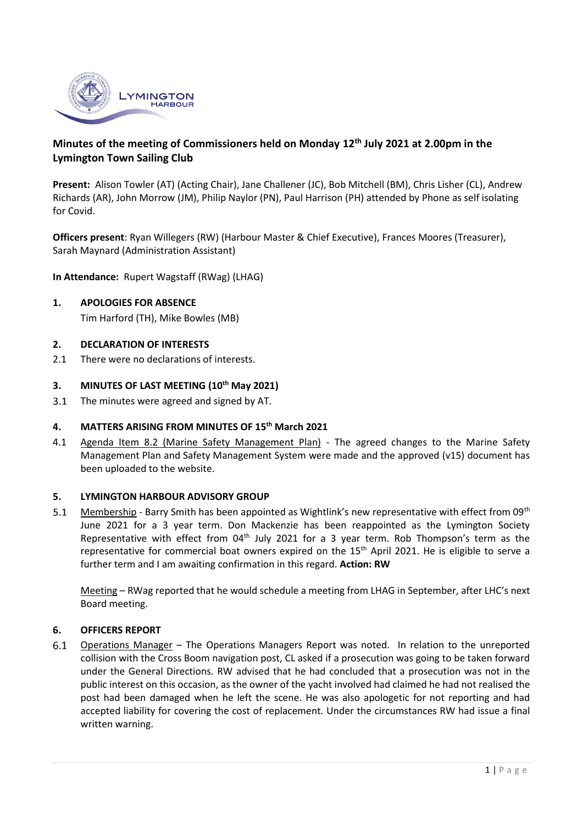

# **Minutes of the meeting of Commissioners held on Monday 12 th July 2021 at 2.00pm in the Lymington Town Sailing Club**

**Present:** Alison Towler (AT) (Acting Chair), Jane Challener (JC), Bob Mitchell (BM), Chris Lisher (CL), Andrew Richards (AR), John Morrow (JM), Philip Naylor (PN), Paul Harrison (PH) attended by Phone as self isolating for Covid.

**Officers present**: Ryan Willegers (RW) (Harbour Master & Chief Executive), Frances Moores (Treasurer), Sarah Maynard (Administration Assistant)

**In Attendance:** Rupert Wagstaff (RWag) (LHAG)

**1. APOLOGIES FOR ABSENCE** Tim Harford (TH), Mike Bowles (MB)

### **2. DECLARATION OF INTERESTS**

2.1 There were no declarations of interests.

#### **3. MINUTES OF LAST MEETING (10 th May 2021)**

 $3.1$ The minutes were agreed and signed by AT.

#### **4. MATTERS ARISING FROM MINUTES OF 15 th March 2021**

4.1 Agenda Item 8.2 (Marine Safety Management Plan) - The agreed changes to the Marine Safety Management Plan and Safety Management System were made and the approved (v15) document has been uploaded to the website.

#### **5. LYMINGTON HARBOUR ADVISORY GROUP**

 $5.1$ Membership - Barry Smith has been appointed as Wightlink's new representative with effect from 09<sup>th</sup> June 2021 for a 3 year term. Don Mackenzie has been reappointed as the Lymington Society Representative with effect from 04<sup>th</sup> July 2021 for a 3 year term. Rob Thompson's term as the representative for commercial boat owners expired on the 15<sup>th</sup> April 2021. He is eligible to serve a further term and I am awaiting confirmation in this regard. **Action: RW**

Meeting – RWag reported that he would schedule a meeting from LHAG in September, after LHC's next Board meeting.

#### **6. OFFICERS REPORT**

 $6.1$ Operations Manager – The Operations Managers Report was noted. In relation to the unreported collision with the Cross Boom navigation post, CL asked if a prosecution was going to be taken forward under the General Directions. RW advised that he had concluded that a prosecution was not in the public interest on this occasion, as the owner of the yacht involved had claimed he had not realised the post had been damaged when he left the scene. He was also apologetic for not reporting and had accepted liability for covering the cost of replacement. Under the circumstances RW had issue a final written warning.